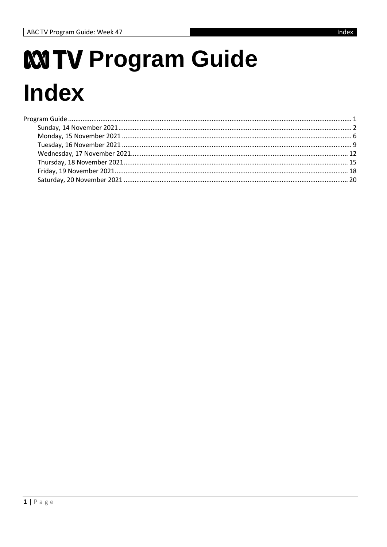# <span id="page-0-0"></span>**MTV Program Guide Index**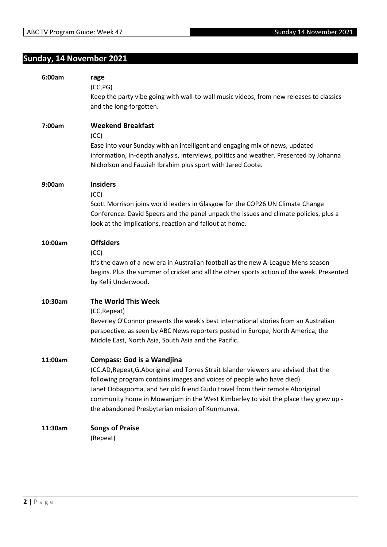## <span id="page-1-0"></span>**Sunday, 14 November 2021**

| 6:00am  | rage<br>(CC, PG)<br>Keep the party vibe going with wall-to-wall music videos, from new releases to classics<br>and the long-forgotten.                                                                                                                                                                                                                                                                                    |
|---------|---------------------------------------------------------------------------------------------------------------------------------------------------------------------------------------------------------------------------------------------------------------------------------------------------------------------------------------------------------------------------------------------------------------------------|
| 7:00am  | <b>Weekend Breakfast</b><br>(CC)<br>Ease into your Sunday with an intelligent and engaging mix of news, updated<br>information, in-depth analysis, interviews, politics and weather. Presented by Johanna<br>Nicholson and Fauziah Ibrahim plus sport with Jared Coote.                                                                                                                                                   |
| 9:00am  | <b>Insiders</b><br>(CC)<br>Scott Morrison joins world leaders in Glasgow for the COP26 UN Climate Change<br>Conference. David Speers and the panel unpack the issues and climate policies, plus a<br>look at the implications, reaction and fallout at home.                                                                                                                                                              |
| 10:00am | <b>Offsiders</b><br>(CC)<br>It's the dawn of a new era in Australian football as the new A-League Mens season<br>begins. Plus the summer of cricket and all the other sports action of the week. Presented<br>by Kelli Underwood.                                                                                                                                                                                         |
| 10:30am | The World This Week<br>(CC, Repeat)<br>Beverley O'Connor presents the week's best international stories from an Australian<br>perspective, as seen by ABC News reporters posted in Europe, North America, the<br>Middle East, North Asia, South Asia and the Pacific.                                                                                                                                                     |
| 11:00am | <b>Compass: God is a Wandjina</b><br>(CC,AD,Repeat,G,Aboriginal and Torres Strait Islander viewers are advised that the<br>following program contains images and voices of people who have died)<br>Janet Oobagooma, and her old friend Gudu travel from their remote Aboriginal<br>community home in Mowanjum in the West Kimberley to visit the place they grew up -<br>the abandoned Presbyterian mission of Kunmunya. |
| 11:30am | <b>Songs of Praise</b><br>(Repeat)                                                                                                                                                                                                                                                                                                                                                                                        |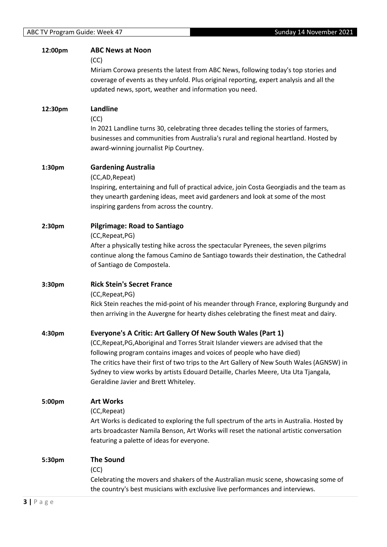| 12:00pm | <b>ABC News at Noon</b><br>(CC)<br>Miriam Corowa presents the latest from ABC News, following today's top stories and                                                                                                          |
|---------|--------------------------------------------------------------------------------------------------------------------------------------------------------------------------------------------------------------------------------|
|         | coverage of events as they unfold. Plus original reporting, expert analysis and all the<br>updated news, sport, weather and information you need.                                                                              |
| 12:30pm | Landline<br>(CC)                                                                                                                                                                                                               |
|         | In 2021 Landline turns 30, celebrating three decades telling the stories of farmers,<br>businesses and communities from Australia's rural and regional heartland. Hosted by<br>award-winning journalist Pip Courtney.          |
| 1:30pm  | <b>Gardening Australia</b><br>(CC,AD,Repeat)                                                                                                                                                                                   |
|         | Inspiring, entertaining and full of practical advice, join Costa Georgiadis and the team as<br>they unearth gardening ideas, meet avid gardeners and look at some of the most<br>inspiring gardens from across the country.    |
| 2:30pm  | <b>Pilgrimage: Road to Santiago</b>                                                                                                                                                                                            |
|         | (CC, Repeat, PG)<br>After a physically testing hike across the spectacular Pyrenees, the seven pilgrims<br>continue along the famous Camino de Santiago towards their destination, the Cathedral<br>of Santiago de Compostela. |
| 3:30pm  | <b>Rick Stein's Secret France</b>                                                                                                                                                                                              |
|         | (CC, Repeat, PG)<br>Rick Stein reaches the mid-point of his meander through France, exploring Burgundy and<br>then arriving in the Auvergne for hearty dishes celebrating the finest meat and dairy.                           |
| 4:30pm  | Everyone's A Critic: Art Gallery Of New South Wales (Part 1)<br>(CC, Repeat, PG, Aboriginal and Torres Strait Islander viewers are advised that the                                                                            |
|         | following program contains images and voices of people who have died)                                                                                                                                                          |
|         | The critics have their first of two trips to the Art Gallery of New South Wales (AGNSW) in<br>Sydney to view works by artists Edouard Detaille, Charles Meere, Uta Uta Tjangala,<br>Geraldine Javier and Brett Whiteley.       |
| 5:00pm  | <b>Art Works</b>                                                                                                                                                                                                               |
|         | (CC, Repeat)<br>Art Works is dedicated to exploring the full spectrum of the arts in Australia. Hosted by                                                                                                                      |
|         | arts broadcaster Namila Benson, Art Works will reset the national artistic conversation<br>featuring a palette of ideas for everyone.                                                                                          |
| 5:30pm  | <b>The Sound</b>                                                                                                                                                                                                               |
|         | (CC)<br>Celebrating the movers and shakers of the Australian music scene, showcasing some of<br>the country's best musicians with exclusive live performances and interviews.                                                  |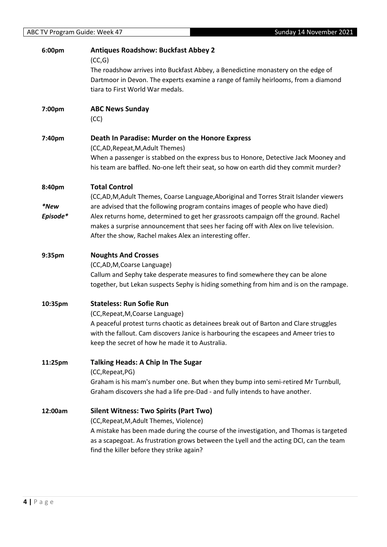| Sunday 14 November 2021<br>ABC TV Program Guide: Week 47 |                                                                                                                                                                              |
|----------------------------------------------------------|------------------------------------------------------------------------------------------------------------------------------------------------------------------------------|
| 6:00pm                                                   | <b>Antiques Roadshow: Buckfast Abbey 2</b><br>(CC,G)                                                                                                                         |
|                                                          | The roadshow arrives into Buckfast Abbey, a Benedictine monastery on the edge of                                                                                             |
|                                                          | Dartmoor in Devon. The experts examine a range of family heirlooms, from a diamond                                                                                           |
|                                                          | tiara to First World War medals.                                                                                                                                             |
| 7:00pm                                                   | <b>ABC News Sunday</b>                                                                                                                                                       |
|                                                          | (CC)                                                                                                                                                                         |
| 7:40pm                                                   | Death In Paradise: Murder on the Honore Express                                                                                                                              |
|                                                          | (CC,AD, Repeat, M, Adult Themes)                                                                                                                                             |
|                                                          | When a passenger is stabbed on the express bus to Honore, Detective Jack Mooney and<br>his team are baffled. No-one left their seat, so how on earth did they commit murder? |
| 8:40pm                                                   | <b>Total Control</b>                                                                                                                                                         |
|                                                          | (CC,AD,M,Adult Themes, Coarse Language,Aboriginal and Torres Strait Islander viewers                                                                                         |
| <i>*New</i>                                              | are advised that the following program contains images of people who have died)                                                                                              |
| Episode*                                                 | Alex returns home, determined to get her grassroots campaign off the ground. Rachel                                                                                          |
|                                                          | makes a surprise announcement that sees her facing off with Alex on live television.                                                                                         |
|                                                          | After the show, Rachel makes Alex an interesting offer.                                                                                                                      |
| 9:35pm                                                   | <b>Noughts And Crosses</b>                                                                                                                                                   |
|                                                          | (CC,AD,M,Coarse Language)                                                                                                                                                    |
|                                                          | Callum and Sephy take desperate measures to find somewhere they can be alone                                                                                                 |
|                                                          | together, but Lekan suspects Sephy is hiding something from him and is on the rampage.                                                                                       |
| 10:35pm                                                  | <b>Stateless: Run Sofie Run</b>                                                                                                                                              |
|                                                          | (CC, Repeat, M, Coarse Language)                                                                                                                                             |
|                                                          | A peaceful protest turns chaotic as detainees break out of Barton and Clare struggles                                                                                        |
|                                                          | with the fallout. Cam discovers Janice is harbouring the escapees and Ameer tries to                                                                                         |
|                                                          | keep the secret of how he made it to Australia.                                                                                                                              |
| 11:25pm                                                  | <b>Talking Heads: A Chip In The Sugar</b>                                                                                                                                    |
|                                                          | (CC, Repeat, PG)                                                                                                                                                             |
|                                                          | Graham is his mam's number one. But when they bump into semi-retired Mr Turnbull,                                                                                            |
|                                                          | Graham discovers she had a life pre-Dad - and fully intends to have another.                                                                                                 |
| 12:00am                                                  | <b>Silent Witness: Two Spirits (Part Two)</b>                                                                                                                                |
|                                                          | (CC, Repeat, M, Adult Themes, Violence)                                                                                                                                      |
|                                                          | A mistake has been made during the course of the investigation, and Thomas is targeted                                                                                       |
|                                                          | as a scapegoat. As frustration grows between the Lyell and the acting DCI, can the team                                                                                      |
|                                                          | find the killer before they strike again?                                                                                                                                    |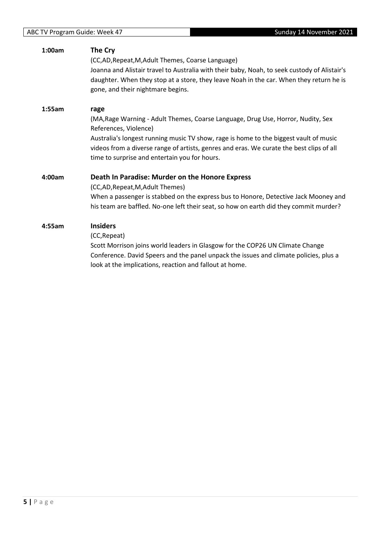| 1:00am | The Cry                                                                                      |
|--------|----------------------------------------------------------------------------------------------|
|        | (CC,AD, Repeat, M, Adult Themes, Coarse Language)                                            |
|        | Joanna and Alistair travel to Australia with their baby, Noah, to seek custody of Alistair's |
|        | daughter. When they stop at a store, they leave Noah in the car. When they return he is      |
|        | gone, and their nightmare begins.                                                            |
| 1:55am | rage                                                                                         |
|        | (MA, Rage Warning - Adult Themes, Coarse Language, Drug Use, Horror, Nudity, Sex             |
|        | References, Violence)                                                                        |
|        | Australia's longest running music TV show, rage is home to the biggest vault of music        |
|        | videos from a diverse range of artists, genres and eras. We curate the best clips of all     |
|        | time to surprise and entertain you for hours.                                                |
| 4:00am | Death In Paradise: Murder on the Honore Express                                              |
|        | (CC,AD, Repeat, M, Adult Themes)                                                             |
|        | When a passenger is stabbed on the express bus to Honore, Detective Jack Mooney and          |
|        | his team are baffled. No-one left their seat, so how on earth did they commit murder?        |
| 4:55am | <b>Insiders</b>                                                                              |
|        | (CC, Repeat)                                                                                 |
|        | Scott Morrison joins world leaders in Glasgow for the COP26 UN Climate Change                |
|        | Conference. David Speers and the panel unpack the issues and climate policies, plus a        |
|        | look at the implications, reaction and fallout at home.                                      |
|        |                                                                                              |
|        |                                                                                              |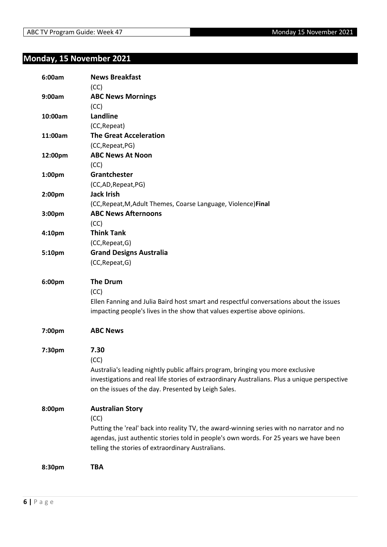## <span id="page-5-0"></span>**Monday, 15 November 2021**

| 6:00am  | <b>News Breakfast</b><br>(CC)                                                                |
|---------|----------------------------------------------------------------------------------------------|
| 9:00am  | <b>ABC News Mornings</b>                                                                     |
|         | (CC)<br>Landline                                                                             |
| 10:00am |                                                                                              |
|         | (CC, Repeat)<br><b>The Great Acceleration</b>                                                |
| 11:00am |                                                                                              |
|         | (CC, Repeat, PG)<br><b>ABC News At Noon</b>                                                  |
| 12:00pm |                                                                                              |
|         | (CC)                                                                                         |
| 1:00pm  | Grantchester                                                                                 |
|         | (CC,AD,Repeat,PG)                                                                            |
| 2:00pm  | <b>Jack Irish</b>                                                                            |
|         | (CC, Repeat, M, Adult Themes, Coarse Language, Violence) Final                               |
| 3:00pm  | <b>ABC News Afternoons</b>                                                                   |
|         | (CC)                                                                                         |
| 4:10pm  | <b>Think Tank</b>                                                                            |
|         | (CC, Repeat, G)                                                                              |
| 5:10pm  | <b>Grand Designs Australia</b>                                                               |
|         | (CC, Repeat, G)                                                                              |
| 6:00pm  | <b>The Drum</b>                                                                              |
|         | (CC)                                                                                         |
|         | Ellen Fanning and Julia Baird host smart and respectful conversations about the issues       |
|         | impacting people's lives in the show that values expertise above opinions.                   |
| 7:00pm  | <b>ABC News</b>                                                                              |
| 7:30pm  | 7.30                                                                                         |
|         | (CC)                                                                                         |
|         | Australia's leading nightly public affairs program, bringing you more exclusive              |
|         | investigations and real life stories of extraordinary Australians. Plus a unique perspective |
|         | on the issues of the day. Presented by Leigh Sales.                                          |
| 8:00pm  | <b>Australian Story</b>                                                                      |
|         | (CC)                                                                                         |
|         | Putting the 'real' back into reality TV, the award-winning series with no narrator and no    |
|         | agendas, just authentic stories told in people's own words. For 25 years we have been        |
|         | telling the stories of extraordinary Australians.                                            |
|         | <b>TBA</b>                                                                                   |
| 8:30pm  |                                                                                              |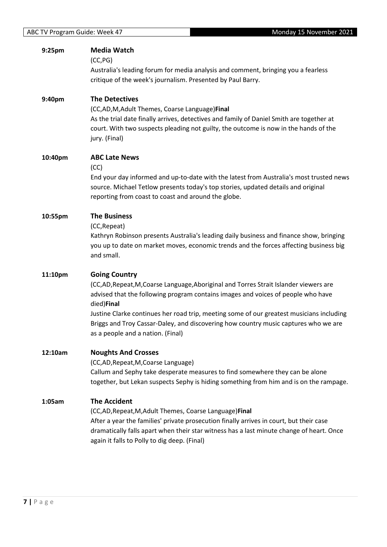| 9:25pm  | <b>Media Watch</b><br>(CC, PG)<br>Australia's leading forum for media analysis and comment, bringing you a fearless<br>critique of the week's journalism. Presented by Paul Barry.                                                                                                                                                                                                                                                  |
|---------|-------------------------------------------------------------------------------------------------------------------------------------------------------------------------------------------------------------------------------------------------------------------------------------------------------------------------------------------------------------------------------------------------------------------------------------|
| 9:40pm  | <b>The Detectives</b><br>(CC,AD,M,Adult Themes, Coarse Language)Final<br>As the trial date finally arrives, detectives and family of Daniel Smith are together at<br>court. With two suspects pleading not guilty, the outcome is now in the hands of the<br>jury. (Final)                                                                                                                                                          |
| 10:40pm | <b>ABC Late News</b><br>(CC)<br>End your day informed and up-to-date with the latest from Australia's most trusted news<br>source. Michael Tetlow presents today's top stories, updated details and original<br>reporting from coast to coast and around the globe.                                                                                                                                                                 |
| 10:55pm | <b>The Business</b><br>(CC, Repeat)<br>Kathryn Robinson presents Australia's leading daily business and finance show, bringing<br>you up to date on market moves, economic trends and the forces affecting business big<br>and small.                                                                                                                                                                                               |
| 11:10pm | <b>Going Country</b><br>(CC,AD,Repeat,M,Coarse Language,Aboriginal and Torres Strait Islander viewers are<br>advised that the following program contains images and voices of people who have<br>died)Final<br>Justine Clarke continues her road trip, meeting some of our greatest musicians including<br>Briggs and Troy Cassar-Daley, and discovering how country music captures who we are<br>as a people and a nation. (Final) |
| 12:10am | <b>Noughts And Crosses</b><br>(CC,AD, Repeat, M, Coarse Language)<br>Callum and Sephy take desperate measures to find somewhere they can be alone<br>together, but Lekan suspects Sephy is hiding something from him and is on the rampage.                                                                                                                                                                                         |
| 1:05am  | <b>The Accident</b><br>(CC,AD, Repeat, M, Adult Themes, Coarse Language) Final<br>After a year the families' private prosecution finally arrives in court, but their case<br>dramatically falls apart when their star witness has a last minute change of heart. Once<br>again it falls to Polly to dig deep. (Final)                                                                                                               |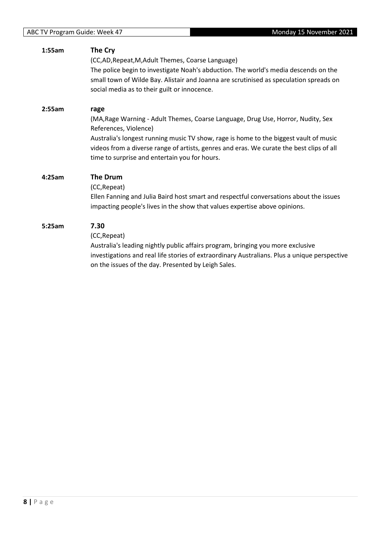| 1:55am | The Cry<br>(CC,AD, Repeat, M, Adult Themes, Coarse Language)<br>The police begin to investigate Noah's abduction. The world's media descends on the<br>small town of Wilde Bay. Alistair and Joanna are scrutinised as speculation spreads on<br>social media as to their guilt or innocence.                                                           |
|--------|---------------------------------------------------------------------------------------------------------------------------------------------------------------------------------------------------------------------------------------------------------------------------------------------------------------------------------------------------------|
| 2:55am | rage<br>(MA, Rage Warning - Adult Themes, Coarse Language, Drug Use, Horror, Nudity, Sex<br>References, Violence)<br>Australia's longest running music TV show, rage is home to the biggest vault of music<br>videos from a diverse range of artists, genres and eras. We curate the best clips of all<br>time to surprise and entertain you for hours. |
| 4:25am | The Drum<br>(CC, Repeat)<br>Ellen Fanning and Julia Baird host smart and respectful conversations about the issues<br>impacting people's lives in the show that values expertise above opinions.                                                                                                                                                        |
| 5:25am | 7.30<br>(CC, Repeat)<br>Australia's leading nightly public affairs program, bringing you more exclusive<br>investigations and real life stories of extraordinary Australians. Plus a unique perspective<br>on the issues of the day. Presented by Leigh Sales.                                                                                          |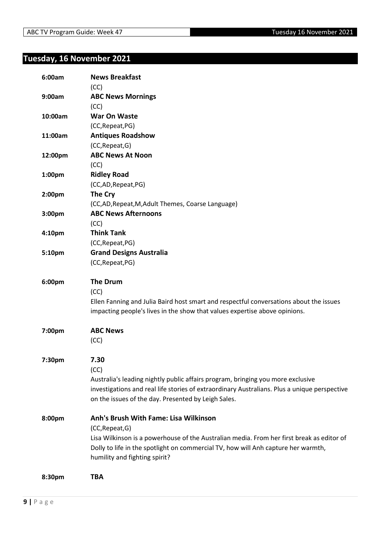## <span id="page-8-0"></span>**Tuesday, 16 November 2021**

| 6:00am  | <b>News Breakfast</b><br>(CC)                                                                |
|---------|----------------------------------------------------------------------------------------------|
| 9:00am  | <b>ABC News Mornings</b>                                                                     |
|         | (CC)                                                                                         |
| 10:00am | <b>War On Waste</b>                                                                          |
|         | (CC, Repeat, PG)                                                                             |
| 11:00am | <b>Antiques Roadshow</b>                                                                     |
|         | (CC, Repeat, G)                                                                              |
| 12:00pm | <b>ABC News At Noon</b>                                                                      |
|         | (CC)                                                                                         |
| 1:00pm  | <b>Ridley Road</b>                                                                           |
|         | (CC,AD,Repeat,PG)                                                                            |
| 2:00pm  | The Cry                                                                                      |
|         | (CC,AD, Repeat, M, Adult Themes, Coarse Language)                                            |
| 3:00pm  | <b>ABC News Afternoons</b>                                                                   |
|         | (CC)                                                                                         |
| 4:10pm  | <b>Think Tank</b>                                                                            |
|         | (CC, Repeat, PG)                                                                             |
| 5:10pm  | <b>Grand Designs Australia</b>                                                               |
|         | (CC, Repeat, PG)                                                                             |
| 6:00pm  | <b>The Drum</b>                                                                              |
|         | (CC)                                                                                         |
|         | Ellen Fanning and Julia Baird host smart and respectful conversations about the issues       |
|         | impacting people's lives in the show that values expertise above opinions.                   |
|         | <b>ABC News</b>                                                                              |
| 7:00pm  |                                                                                              |
|         | (CC)                                                                                         |
| 7:30pm  | 7.30                                                                                         |
|         | (CC)                                                                                         |
|         | Australia's leading nightly public affairs program, bringing you more exclusive              |
|         | investigations and real life stories of extraordinary Australians. Plus a unique perspective |
|         | on the issues of the day. Presented by Leigh Sales.                                          |
|         |                                                                                              |
| 8:00pm  | Anh's Brush With Fame: Lisa Wilkinson                                                        |
|         | (CC, Repeat, G)                                                                              |
|         | Lisa Wilkinson is a powerhouse of the Australian media. From her first break as editor of    |
|         | Dolly to life in the spotlight on commercial TV, how will Anh capture her warmth,            |
|         | humility and fighting spirit?                                                                |
|         |                                                                                              |
| 8:30pm  | TBA                                                                                          |
|         |                                                                                              |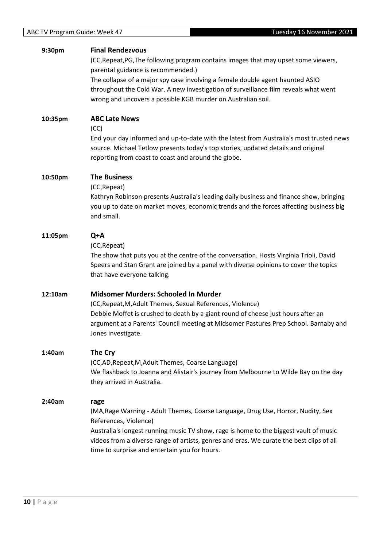| 9:30pm  | <b>Final Rendezvous</b><br>(CC, Repeat, PG, The following program contains images that may upset some viewers,<br>parental guidance is recommended.)<br>The collapse of a major spy case involving a female double agent haunted ASIO<br>throughout the Cold War. A new investigation of surveillance film reveals what went<br>wrong and uncovers a possible KGB murder on Australian soil. |
|---------|----------------------------------------------------------------------------------------------------------------------------------------------------------------------------------------------------------------------------------------------------------------------------------------------------------------------------------------------------------------------------------------------|
| 10:35pm | <b>ABC Late News</b><br>(CC)<br>End your day informed and up-to-date with the latest from Australia's most trusted news<br>source. Michael Tetlow presents today's top stories, updated details and original<br>reporting from coast to coast and around the globe.                                                                                                                          |
| 10:50pm | <b>The Business</b><br>(CC, Repeat)<br>Kathryn Robinson presents Australia's leading daily business and finance show, bringing<br>you up to date on market moves, economic trends and the forces affecting business big<br>and small.                                                                                                                                                        |
| 11:05pm | Q+A<br>(CC, Repeat)<br>The show that puts you at the centre of the conversation. Hosts Virginia Trioli, David<br>Speers and Stan Grant are joined by a panel with diverse opinions to cover the topics<br>that have everyone talking.                                                                                                                                                        |
| 12:10am | Midsomer Murders: Schooled In Murder<br>(CC, Repeat, M, Adult Themes, Sexual References, Violence)<br>Debbie Moffet is crushed to death by a giant round of cheese just hours after an<br>argument at a Parents' Council meeting at Midsomer Pastures Prep School. Barnaby and<br>Jones investigate.                                                                                         |
| 1:40am  | The Cry<br>(CC,AD, Repeat, M, Adult Themes, Coarse Language)<br>We flashback to Joanna and Alistair's journey from Melbourne to Wilde Bay on the day<br>they arrived in Australia.                                                                                                                                                                                                           |
| 2:40am  | rage<br>(MA, Rage Warning - Adult Themes, Coarse Language, Drug Use, Horror, Nudity, Sex<br>References, Violence)<br>Australia's longest running music TV show, rage is home to the biggest vault of music<br>videos from a diverse range of artists, genres and eras. We curate the best clips of all<br>time to surprise and entertain you for hours.                                      |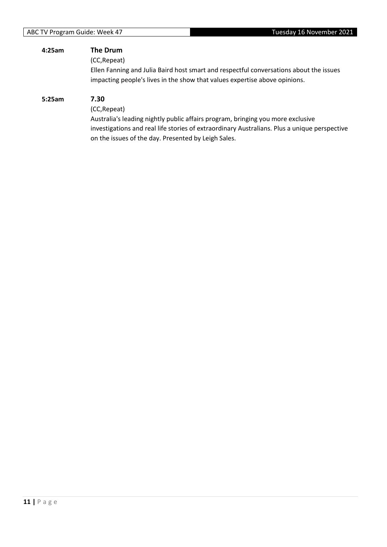| 4:25am | The Drum<br>(CC, Repeat)<br>Ellen Fanning and Julia Baird host smart and respectful conversations about the issues<br>impacting people's lives in the show that values expertise above opinions.                                                               |
|--------|----------------------------------------------------------------------------------------------------------------------------------------------------------------------------------------------------------------------------------------------------------------|
| 5:25am | 7.30<br>(CC, Repeat)<br>Australia's leading nightly public affairs program, bringing you more exclusive<br>investigations and real life stories of extraordinary Australians. Plus a unique perspective<br>on the issues of the day. Presented by Leigh Sales. |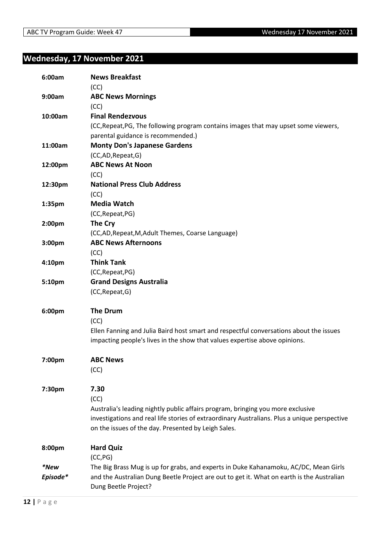## <span id="page-11-0"></span>**Wednesday, 17 November 2021**

| 6:00am   | <b>News Breakfast</b><br>(CC)                                                                |
|----------|----------------------------------------------------------------------------------------------|
| 9:00am   | <b>ABC News Mornings</b>                                                                     |
|          | (CC)                                                                                         |
| 10:00am  | <b>Final Rendezvous</b>                                                                      |
|          | (CC, Repeat, PG, The following program contains images that may upset some viewers,          |
|          | parental guidance is recommended.)                                                           |
| 11:00am  | <b>Monty Don's Japanese Gardens</b>                                                          |
|          | (CC,AD, Repeat, G)                                                                           |
| 12:00pm  | <b>ABC News At Noon</b>                                                                      |
|          | (CC)                                                                                         |
| 12:30pm  | <b>National Press Club Address</b>                                                           |
|          | (CC)                                                                                         |
| 1:35pm   | <b>Media Watch</b>                                                                           |
|          | (CC, Repeat, PG)                                                                             |
| 2:00pm   | The Cry                                                                                      |
|          | (CC,AD, Repeat, M, Adult Themes, Coarse Language)                                            |
| 3:00pm   | <b>ABC News Afternoons</b>                                                                   |
|          | (CC)                                                                                         |
| 4:10pm   | <b>Think Tank</b>                                                                            |
|          | (CC, Repeat, PG)                                                                             |
| 5:10pm   | <b>Grand Designs Australia</b><br>(CC, Repeat, G)                                            |
|          |                                                                                              |
| 6:00pm   | <b>The Drum</b>                                                                              |
|          | (CC)                                                                                         |
|          | Ellen Fanning and Julia Baird host smart and respectful conversations about the issues       |
|          | impacting people's lives in the show that values expertise above opinions.                   |
| 7:00pm   | <b>ABC News</b>                                                                              |
|          | (CC)                                                                                         |
|          |                                                                                              |
| 7:30pm   | 7.30                                                                                         |
|          | (CC)                                                                                         |
|          | Australia's leading nightly public affairs program, bringing you more exclusive              |
|          | investigations and real life stories of extraordinary Australians. Plus a unique perspective |
|          | on the issues of the day. Presented by Leigh Sales.                                          |
| 8:00pm   | <b>Hard Quiz</b>                                                                             |
|          | (CC, PG)                                                                                     |
| *New     | The Big Brass Mug is up for grabs, and experts in Duke Kahanamoku, AC/DC, Mean Girls         |
| Episode* | and the Australian Dung Beetle Project are out to get it. What on earth is the Australian    |
|          | Dung Beetle Project?                                                                         |
|          |                                                                                              |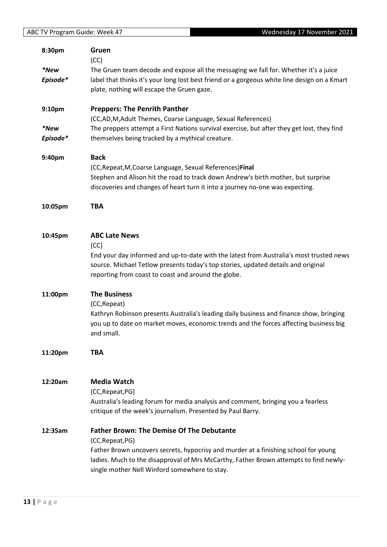| ABC TV Program Guide: Week 47 | Wednesday 17 November 2021                                                                   |
|-------------------------------|----------------------------------------------------------------------------------------------|
| 8:30pm                        | Gruen                                                                                        |
|                               | (CC)                                                                                         |
| *New                          | The Gruen team decode and expose all the messaging we fall for. Whether it's a juice         |
| Episode*                      | label that thinks it's your long lost best friend or a gorgeous white line design on a Kmart |
|                               | plate, nothing will escape the Gruen gaze.                                                   |
| 9:10pm                        | <b>Preppers: The Penrith Panther</b>                                                         |
|                               | (CC,AD,M,Adult Themes, Coarse Language, Sexual References)                                   |
| *New                          | The preppers attempt a First Nations survival exercise, but after they get lost, they find   |
| Episode*                      | themselves being tracked by a mythical creature.                                             |
| 9:40pm                        | <b>Back</b>                                                                                  |
|                               | (CC, Repeat, M, Coarse Language, Sexual References) Final                                    |
|                               | Stephen and Alison hit the road to track down Andrew's birth mother, but surprise            |
|                               | discoveries and changes of heart turn it into a journey no-one was expecting.                |
| 10:05pm                       | <b>TBA</b>                                                                                   |
|                               |                                                                                              |
| 10:45pm                       | <b>ABC Late News</b>                                                                         |
|                               | (CC)                                                                                         |
|                               | End your day informed and up-to-date with the latest from Australia's most trusted news      |
|                               | source. Michael Tetlow presents today's top stories, updated details and original            |
|                               | reporting from coast to coast and around the globe.                                          |
| 11:00pm                       | <b>The Business</b>                                                                          |
|                               | (CC, Repeat)                                                                                 |
|                               | Kathryn Robinson presents Australia's leading daily business and finance show, bringing      |
|                               | you up to date on market moves, economic trends and the forces affecting business big        |
|                               | and small.                                                                                   |
| 11:20pm                       | <b>TBA</b>                                                                                   |
|                               |                                                                                              |
| 12:20am                       | <b>Media Watch</b>                                                                           |
|                               | (CC, Repeat, PG)                                                                             |
|                               | Australia's leading forum for media analysis and comment, bringing you a fearless            |
|                               | critique of the week's journalism. Presented by Paul Barry.                                  |
| 12:35am                       | <b>Father Brown: The Demise Of The Debutante</b>                                             |
|                               | (CC, Repeat, PG)                                                                             |
|                               | Father Brown uncovers secrets, hypocrisy and murder at a finishing school for young          |
|                               | ladies. Much to the disapproval of Mrs McCarthy, Father Brown attempts to find newly-        |
|                               | single mother Nell Winford somewhere to stay.                                                |
|                               |                                                                                              |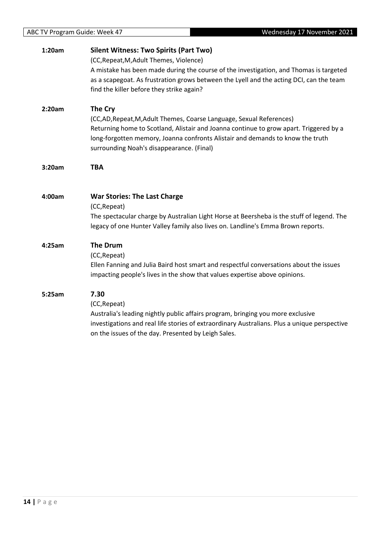| 2:20am | The Cry<br>(CC,AD, Repeat, M, Adult Themes, Coarse Language, Sexual References)<br>Returning home to Scotland, Alistair and Joanna continue to grow apart. Triggered by a<br>long-forgotten memory, Joanna confronts Alistair and demands to know the truth<br>surrounding Noah's disappearance. (Final) |
|--------|----------------------------------------------------------------------------------------------------------------------------------------------------------------------------------------------------------------------------------------------------------------------------------------------------------|
|        | <b>TBA</b>                                                                                                                                                                                                                                                                                               |
|        | <b>War Stories: The Last Charge</b><br>(CC, Repeat)<br>The spectacular charge by Australian Light Horse at Beersheba is the stuff of legend. The<br>legacy of one Hunter Valley family also lives on. Landline's Emma Brown reports.                                                                     |
|        | <b>The Drum</b><br>(CC, Repeat)<br>Ellen Fanning and Julia Baird host smart and respectful conversations about the issues<br>impacting people's lives in the show that values expertise above opinions.                                                                                                  |
|        | 7.30<br>(CC, Repeat)<br>Australia's leading nightly public affairs program, bringing you more exclusive<br>investigations and real life stories of extraordinary Australians. Plus a unique perspective<br>on the issues of the day. Presented by Leigh Sales.                                           |
|        | 3:20am<br>4:00am<br>4:25am<br>5:25am                                                                                                                                                                                                                                                                     |

### **1:20am Silent Witness: Two Spirits (Part Two)**

(CC,Repeat,M,Adult Themes, Violence)

A mistake has been made during the course of the investigation, and Thomas is targeted as a scapegoat. As frustration grows between the Lyell and the acting DCI, can the team find the killer before they strike again?

ABC TV Program Guide: Week 47 Wednesday 17 November 2021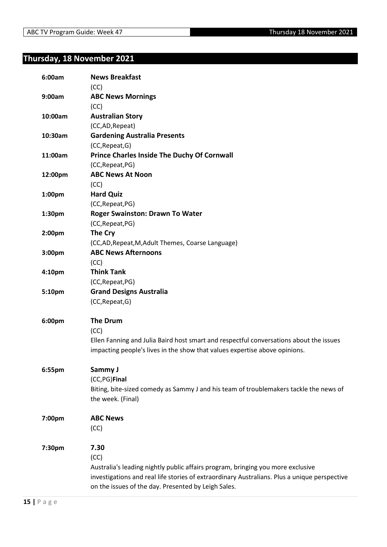## <span id="page-14-0"></span>**Thursday, 18 November 2021**

| 6:00am  | <b>News Breakfast</b><br>(CC)                                                                |
|---------|----------------------------------------------------------------------------------------------|
| 9:00am  | <b>ABC News Mornings</b>                                                                     |
|         | (CC)                                                                                         |
| 10:00am | <b>Australian Story</b>                                                                      |
|         | (CC,AD,Repeat)                                                                               |
| 10:30am | <b>Gardening Australia Presents</b>                                                          |
|         | (CC, Repeat, G)                                                                              |
| 11:00am | <b>Prince Charles Inside The Duchy Of Cornwall</b>                                           |
|         | (CC, Repeat, PG)                                                                             |
| 12:00pm | <b>ABC News At Noon</b>                                                                      |
|         | (CC)                                                                                         |
| 1:00pm  | <b>Hard Quiz</b>                                                                             |
|         | (CC, Repeat, PG)                                                                             |
| 1:30pm  | <b>Roger Swainston: Drawn To Water</b>                                                       |
|         | (CC, Repeat, PG)                                                                             |
| 2:00pm  | The Cry                                                                                      |
|         | (CC,AD, Repeat, M, Adult Themes, Coarse Language)                                            |
| 3:00pm  | <b>ABC News Afternoons</b>                                                                   |
|         | (CC)                                                                                         |
| 4:10pm  | <b>Think Tank</b>                                                                            |
|         | (CC, Repeat, PG)                                                                             |
| 5:10pm  | <b>Grand Designs Australia</b>                                                               |
|         | (CC, Repeat, G)                                                                              |
| 6:00pm  | <b>The Drum</b>                                                                              |
|         | (CC)                                                                                         |
|         | Ellen Fanning and Julia Baird host smart and respectful conversations about the issues       |
|         | impacting people's lives in the show that values expertise above opinions.                   |
| 6:55pm  | Sammy J                                                                                      |
|         | (CC,PG)Final                                                                                 |
|         | Biting, bite-sized comedy as Sammy J and his team of troublemakers tackle the news of        |
|         | the week. (Final)                                                                            |
| 7:00pm  | <b>ABC News</b>                                                                              |
|         | (CC)                                                                                         |
| 7:30pm  | 7.30                                                                                         |
|         | (CC)                                                                                         |
|         | Australia's leading nightly public affairs program, bringing you more exclusive              |
|         | investigations and real life stories of extraordinary Australians. Plus a unique perspective |
|         | on the issues of the day. Presented by Leigh Sales.                                          |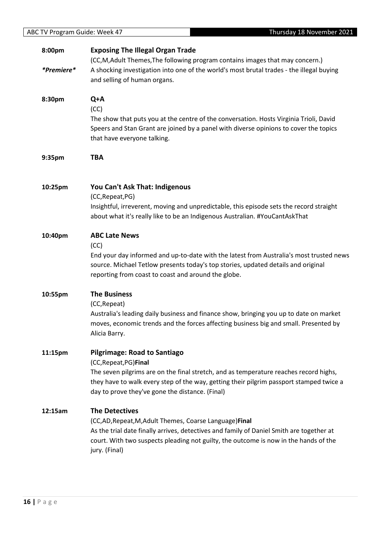| ABC TV Program Guide: Week 47 | Thursday 18 November 2021                                                                |
|-------------------------------|------------------------------------------------------------------------------------------|
| 8:00pm                        | <b>Exposing The Illegal Organ Trade</b>                                                  |
|                               | (CC,M,Adult Themes,The following program contains images that may concern.)              |
| *Premiere*                    | A shocking investigation into one of the world's most brutal trades - the illegal buying |
|                               | and selling of human organs.                                                             |
| 8:30pm                        | Q+A                                                                                      |
|                               | (CC)                                                                                     |
|                               | The show that puts you at the centre of the conversation. Hosts Virginia Trioli, David   |
|                               | Speers and Stan Grant are joined by a panel with diverse opinions to cover the topics    |
|                               | that have everyone talking.                                                              |
| 9:35pm                        | <b>TBA</b>                                                                               |
| 10:25pm                       | You Can't Ask That: Indigenous                                                           |
|                               | (CC, Repeat, PG)                                                                         |
|                               | Insightful, irreverent, moving and unpredictable, this episode sets the record straight  |
|                               | about what it's really like to be an Indigenous Australian. #YouCantAskThat              |
| 10:40pm                       | <b>ABC Late News</b>                                                                     |
|                               | (CC)                                                                                     |
|                               | End your day informed and up-to-date with the latest from Australia's most trusted news  |
|                               | source. Michael Tetlow presents today's top stories, updated details and original        |
|                               | reporting from coast to coast and around the globe.                                      |
| 10:55pm                       | <b>The Business</b>                                                                      |
|                               | (CC, Repeat)                                                                             |
|                               | Australia's leading daily business and finance show, bringing you up to date on market   |
|                               | moves, economic trends and the forces affecting business big and small. Presented by     |
|                               | Alicia Barry.                                                                            |
| 11:15pm                       | <b>Pilgrimage: Road to Santiago</b>                                                      |
|                               | (CC, Repeat, PG) Final                                                                   |
|                               | The seven pilgrims are on the final stretch, and as temperature reaches record highs,    |
|                               | they have to walk every step of the way, getting their pilgrim passport stamped twice a  |
|                               | day to prove they've gone the distance. (Final)                                          |
| 12:15am                       | <b>The Detectives</b>                                                                    |
|                               | (CC,AD, Repeat, M, Adult Themes, Coarse Language) Final                                  |
|                               | As the trial date finally arrives, detectives and family of Daniel Smith are together at |
|                               | court. With two suspects pleading not guilty, the outcome is now in the hands of the     |
|                               | jury. (Final)                                                                            |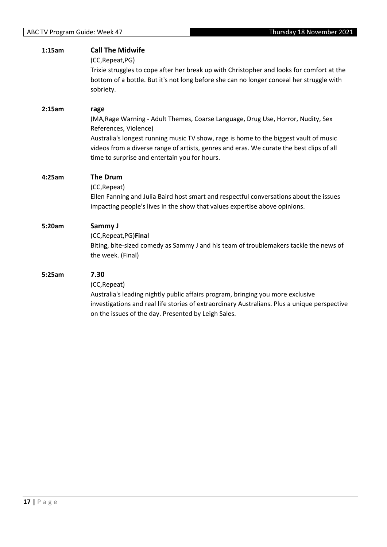| 1:15am | <b>Call The Midwife</b><br>(CC, Repeat, PG)                                                                                                                                                                                                                                                                                                             |
|--------|---------------------------------------------------------------------------------------------------------------------------------------------------------------------------------------------------------------------------------------------------------------------------------------------------------------------------------------------------------|
|        | Trixie struggles to cope after her break up with Christopher and looks for comfort at the<br>bottom of a bottle. But it's not long before she can no longer conceal her struggle with<br>sobriety.                                                                                                                                                      |
| 2:15am | rage<br>(MA, Rage Warning - Adult Themes, Coarse Language, Drug Use, Horror, Nudity, Sex<br>References, Violence)<br>Australia's longest running music TV show, rage is home to the biggest vault of music<br>videos from a diverse range of artists, genres and eras. We curate the best clips of all<br>time to surprise and entertain you for hours. |
| 4:25am | The Drum<br>(CC, Repeat)<br>Ellen Fanning and Julia Baird host smart and respectful conversations about the issues<br>impacting people's lives in the show that values expertise above opinions.                                                                                                                                                        |
| 5:20am | Sammy J<br>(CC, Repeat, PG) Final<br>Biting, bite-sized comedy as Sammy J and his team of troublemakers tackle the news of<br>the week. (Final)                                                                                                                                                                                                         |
| 5:25am | 7.30<br>(CC, Repeat)<br>Australia's leading nightly public affairs program, bringing you more exclusive<br>investigations and real life stories of extraordinary Australians. Plus a unique perspective<br>on the issues of the day. Presented by Leigh Sales.                                                                                          |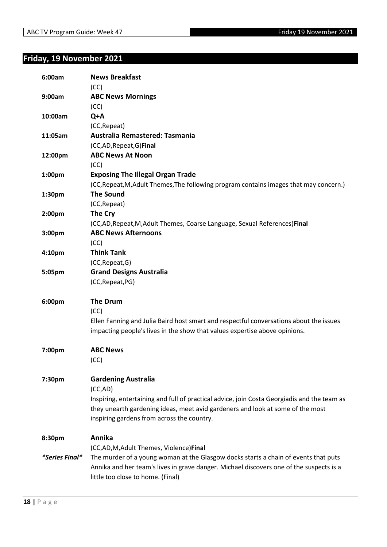## <span id="page-17-0"></span>**Friday, 19 November 2021**

| 6:00am         | <b>News Breakfast</b><br>(CC)                                                               |
|----------------|---------------------------------------------------------------------------------------------|
| 9:00am         | <b>ABC News Mornings</b>                                                                    |
|                | (CC)                                                                                        |
| 10:00am        | Q+A                                                                                         |
|                | (CC, Repeat)                                                                                |
| 11:05am        | Australia Remastered: Tasmania                                                              |
|                | (CC,AD, Repeat, G) Final                                                                    |
| 12:00pm        | <b>ABC News At Noon</b>                                                                     |
|                | (CC)                                                                                        |
| 1:00pm         | <b>Exposing The Illegal Organ Trade</b>                                                     |
|                | (CC, Repeat, M, Adult Themes, The following program contains images that may concern.)      |
| 1:30pm         | <b>The Sound</b>                                                                            |
|                | (CC, Repeat)                                                                                |
| 2:00pm         | The Cry                                                                                     |
|                | (CC,AD, Repeat, M, Adult Themes, Coarse Language, Sexual References) Final                  |
| 3:00pm         | <b>ABC News Afternoons</b>                                                                  |
|                | (CC)                                                                                        |
| 4:10pm         | <b>Think Tank</b>                                                                           |
|                | (CC, Repeat, G)                                                                             |
| 5:05pm         | <b>Grand Designs Australia</b>                                                              |
|                | (CC, Repeat, PG)                                                                            |
| 6:00pm         | <b>The Drum</b>                                                                             |
|                | (CC)                                                                                        |
|                | Ellen Fanning and Julia Baird host smart and respectful conversations about the issues      |
|                | impacting people's lives in the show that values expertise above opinions.                  |
| 7:00pm         | <b>ABC News</b>                                                                             |
|                | (CC)                                                                                        |
| 7:30pm         | <b>Gardening Australia</b>                                                                  |
|                | (CC,AD)                                                                                     |
|                | Inspiring, entertaining and full of practical advice, join Costa Georgiadis and the team as |
|                | they unearth gardening ideas, meet avid gardeners and look at some of the most              |
|                | inspiring gardens from across the country.                                                  |
| 8:30pm         | Annika                                                                                      |
|                | (CC,AD,M,Adult Themes, Violence)Final                                                       |
| *Series Final* | The murder of a young woman at the Glasgow docks starts a chain of events that puts         |
|                | Annika and her team's lives in grave danger. Michael discovers one of the suspects is a     |
|                | little too close to home. (Final)                                                           |
|                |                                                                                             |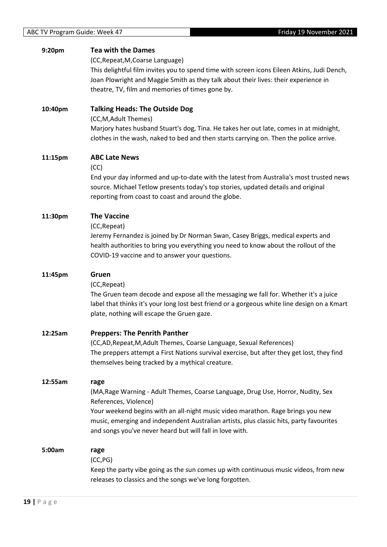| 9:20pm  | <b>Tea with the Dames</b><br>(CC, Repeat, M, Coarse Language)<br>This delightful film invites you to spend time with screen icons Eileen Atkins, Judi Dench,<br>Joan Plowright and Maggie Smith as they talk about their lives: their experience in<br>theatre, TV, film and memories of times gone by.                                                     |
|---------|-------------------------------------------------------------------------------------------------------------------------------------------------------------------------------------------------------------------------------------------------------------------------------------------------------------------------------------------------------------|
| 10:40pm | <b>Talking Heads: The Outside Dog</b><br>(CC, M, Adult Themes)<br>Marjory hates husband Stuart's dog, Tina. He takes her out late, comes in at midnight,<br>clothes in the wash, naked to bed and then starts carrying on. Then the police arrive.                                                                                                          |
| 11:15pm | <b>ABC Late News</b><br>(CC)<br>End your day informed and up-to-date with the latest from Australia's most trusted news<br>source. Michael Tetlow presents today's top stories, updated details and original<br>reporting from coast to coast and around the globe.                                                                                         |
| 11:30pm | <b>The Vaccine</b><br>(CC, Repeat)<br>Jeremy Fernandez is joined by Dr Norman Swan, Casey Briggs, medical experts and<br>health authorities to bring you everything you need to know about the rollout of the<br>COVID-19 vaccine and to answer your questions.                                                                                             |
| 11:45pm | Gruen<br>(CC, Repeat)<br>The Gruen team decode and expose all the messaging we fall for. Whether it's a juice<br>label that thinks it's your long lost best friend or a gorgeous white line design on a Kmart<br>plate, nothing will escape the Gruen gaze.                                                                                                 |
| 12:25am | <b>Preppers: The Penrith Panther</b><br>(CC,AD, Repeat, M, Adult Themes, Coarse Language, Sexual References)<br>The preppers attempt a First Nations survival exercise, but after they get lost, they find<br>themselves being tracked by a mythical creature.                                                                                              |
| 12:55am | rage<br>(MA, Rage Warning - Adult Themes, Coarse Language, Drug Use, Horror, Nudity, Sex<br>References, Violence)<br>Your weekend begins with an all-night music video marathon. Rage brings you new<br>music, emerging and independent Australian artists, plus classic hits, party favourites<br>and songs you've never heard but will fall in love with. |
| 5:00am  | rage<br>(CC, PG)<br>Keep the party vibe going as the sun comes up with continuous music videos, from new<br>releases to classics and the songs we've long forgotten.                                                                                                                                                                                        |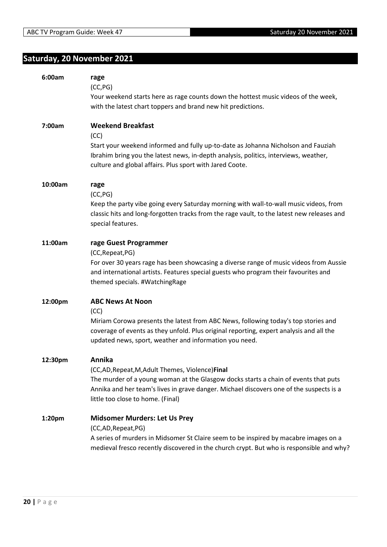## <span id="page-19-0"></span>**Saturday, 20 November 2021**

| 6:00am  | rage<br>(CC, PG)<br>Your weekend starts here as rage counts down the hottest music videos of the week,<br>with the latest chart toppers and brand new hit predictions.                                                                                                            |
|---------|-----------------------------------------------------------------------------------------------------------------------------------------------------------------------------------------------------------------------------------------------------------------------------------|
| 7:00am  | <b>Weekend Breakfast</b><br>(CC)<br>Start your weekend informed and fully up-to-date as Johanna Nicholson and Fauziah<br>Ibrahim bring you the latest news, in-depth analysis, politics, interviews, weather,<br>culture and global affairs. Plus sport with Jared Coote.         |
| 10:00am | rage<br>(CC, PG)<br>Keep the party vibe going every Saturday morning with wall-to-wall music videos, from<br>classic hits and long-forgotten tracks from the rage vault, to the latest new releases and<br>special features.                                                      |
| 11:00am | rage Guest Programmer<br>(CC, Repeat, PG)<br>For over 30 years rage has been showcasing a diverse range of music videos from Aussie<br>and international artists. Features special guests who program their favourites and<br>themed specials. #WatchingRage                      |
| 12:00pm | <b>ABC News At Noon</b><br>(CC)<br>Miriam Corowa presents the latest from ABC News, following today's top stories and<br>coverage of events as they unfold. Plus original reporting, expert analysis and all the<br>updated news, sport, weather and information you need.        |
| 12:30pm | Annika<br>(CC,AD, Repeat, M, Adult Themes, Violence) Final<br>The murder of a young woman at the Glasgow docks starts a chain of events that puts<br>Annika and her team's lives in grave danger. Michael discovers one of the suspects is a<br>little too close to home. (Final) |
| 1:20pm  | <b>Midsomer Murders: Let Us Prey</b><br>(CC,AD,Repeat,PG)<br>A series of murders in Midsomer St Claire seem to be inspired by macabre images on a<br>medieval fresco recently discovered in the church crypt. But who is responsible and why?                                     |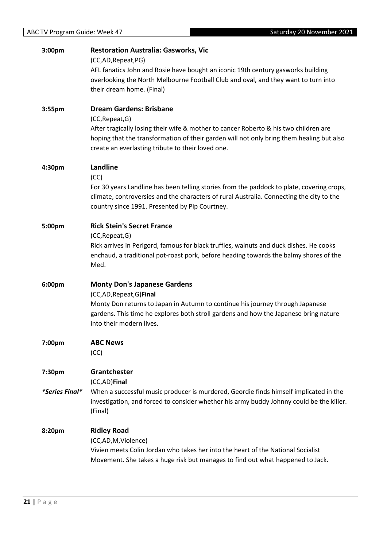| 3:00pm         | <b>Restoration Australia: Gasworks, Vic</b>                                                                                                                            |
|----------------|------------------------------------------------------------------------------------------------------------------------------------------------------------------------|
|                | (CC,AD,Repeat,PG)                                                                                                                                                      |
|                | AFL fanatics John and Rosie have bought an iconic 19th century gasworks building<br>overlooking the North Melbourne Football Club and oval, and they want to turn into |
|                | their dream home. (Final)                                                                                                                                              |
|                |                                                                                                                                                                        |
| 3:55pm         | <b>Dream Gardens: Brisbane</b>                                                                                                                                         |
|                | (CC, Repeat, G)                                                                                                                                                        |
|                | After tragically losing their wife & mother to cancer Roberto & his two children are                                                                                   |
|                | hoping that the transformation of their garden will not only bring them healing but also                                                                               |
|                | create an everlasting tribute to their loved one.                                                                                                                      |
| 4:30pm         | Landline                                                                                                                                                               |
|                | (CC)                                                                                                                                                                   |
|                | For 30 years Landline has been telling stories from the paddock to plate, covering crops,                                                                              |
|                | climate, controversies and the characters of rural Australia. Connecting the city to the                                                                               |
|                | country since 1991. Presented by Pip Courtney.                                                                                                                         |
|                |                                                                                                                                                                        |
| 5:00pm         | <b>Rick Stein's Secret France</b>                                                                                                                                      |
|                | (CC, Repeat, G)<br>Rick arrives in Perigord, famous for black truffles, walnuts and duck dishes. He cooks                                                              |
|                | enchaud, a traditional pot-roast pork, before heading towards the balmy shores of the                                                                                  |
|                | Med.                                                                                                                                                                   |
|                |                                                                                                                                                                        |
| 6:00pm         | <b>Monty Don's Japanese Gardens</b>                                                                                                                                    |
|                | (CC,AD, Repeat, G) Final                                                                                                                                               |
|                | Monty Don returns to Japan in Autumn to continue his journey through Japanese                                                                                          |
|                | gardens. This time he explores both stroll gardens and how the Japanese bring nature<br>into their modern lives.                                                       |
|                |                                                                                                                                                                        |
| 7:00pm         | <b>ABC News</b>                                                                                                                                                        |
|                | (CC)                                                                                                                                                                   |
|                |                                                                                                                                                                        |
| 7:30pm         | Grantchester                                                                                                                                                           |
|                | (CC,AD)Final                                                                                                                                                           |
| *Series Final* | When a successful music producer is murdered, Geordie finds himself implicated in the                                                                                  |
|                | investigation, and forced to consider whether his army buddy Johnny could be the killer.<br>(Final)                                                                    |
|                |                                                                                                                                                                        |
| 8:20pm         | <b>Ridley Road</b>                                                                                                                                                     |
|                | (CC,AD,M,Violence)                                                                                                                                                     |
|                | Vivien meets Colin Jordan who takes her into the heart of the National Socialist                                                                                       |
|                | Movement. She takes a huge risk but manages to find out what happened to Jack.                                                                                         |